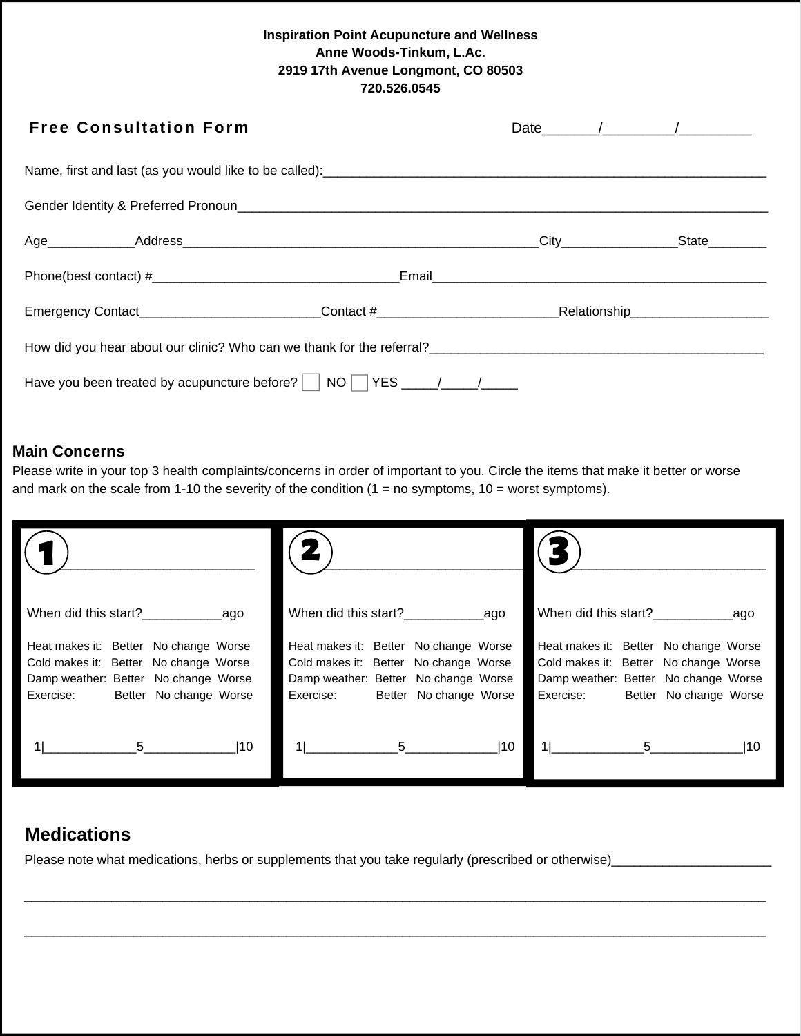### **Inspiration Point Acupuncture and Wellness Anne Woods-Tinkum, L.Ac. 2919 17th Avenue Longmont, CO 80503 720.526.0545**

| <b>Free Consultation Form</b>                                                 |  | Date $\frac{1}{\sqrt{2}}$ |  |  |  |  |  |
|-------------------------------------------------------------------------------|--|---------------------------|--|--|--|--|--|
|                                                                               |  |                           |  |  |  |  |  |
|                                                                               |  |                           |  |  |  |  |  |
|                                                                               |  |                           |  |  |  |  |  |
|                                                                               |  |                           |  |  |  |  |  |
|                                                                               |  |                           |  |  |  |  |  |
| How did you hear about our clinic? Who can we thank for the referral?         |  |                           |  |  |  |  |  |
| Have you been treated by acupuncture before? $\vert$ NO $\vert$ YES $\vert$ / |  |                           |  |  |  |  |  |

## **Main Concerns**

Please write in your top 3 health complaints/concerns in order of important to you. Circle the items that make it better or worse and mark on the scale from 1-10 the severity of the condition  $(1 = no$  symptoms,  $10 =$  worst symptoms).

| When did this start?                  | When did this start?                  | When did this start?                  |
|---------------------------------------|---------------------------------------|---------------------------------------|
| ago                                   | ago                                   | ago                                   |
| Heat makes it: Better No change Worse | Heat makes it: Better No change Worse | Heat makes it: Better No change Worse |
| Cold makes it: Better No change Worse | Cold makes it: Better No change Worse | Cold makes it: Better No change Worse |
| Damp weather: Better No change Worse  | Damp weather: Better No change Worse  | Damp weather: Better No change Worse  |
| Better No change Worse                | Better No change Worse                | Exercise:                             |
| Exercise:                             | Exercise:                             | Better No change Worse                |
| $ 10\rangle$                          | 5 <sub>5</sub>                        | 5                                     |
| 5                                     | 110                                   | 110                                   |

# **Medications**

Please note what medications, herbs or supplements that you take regularly (prescribed or otherwise)